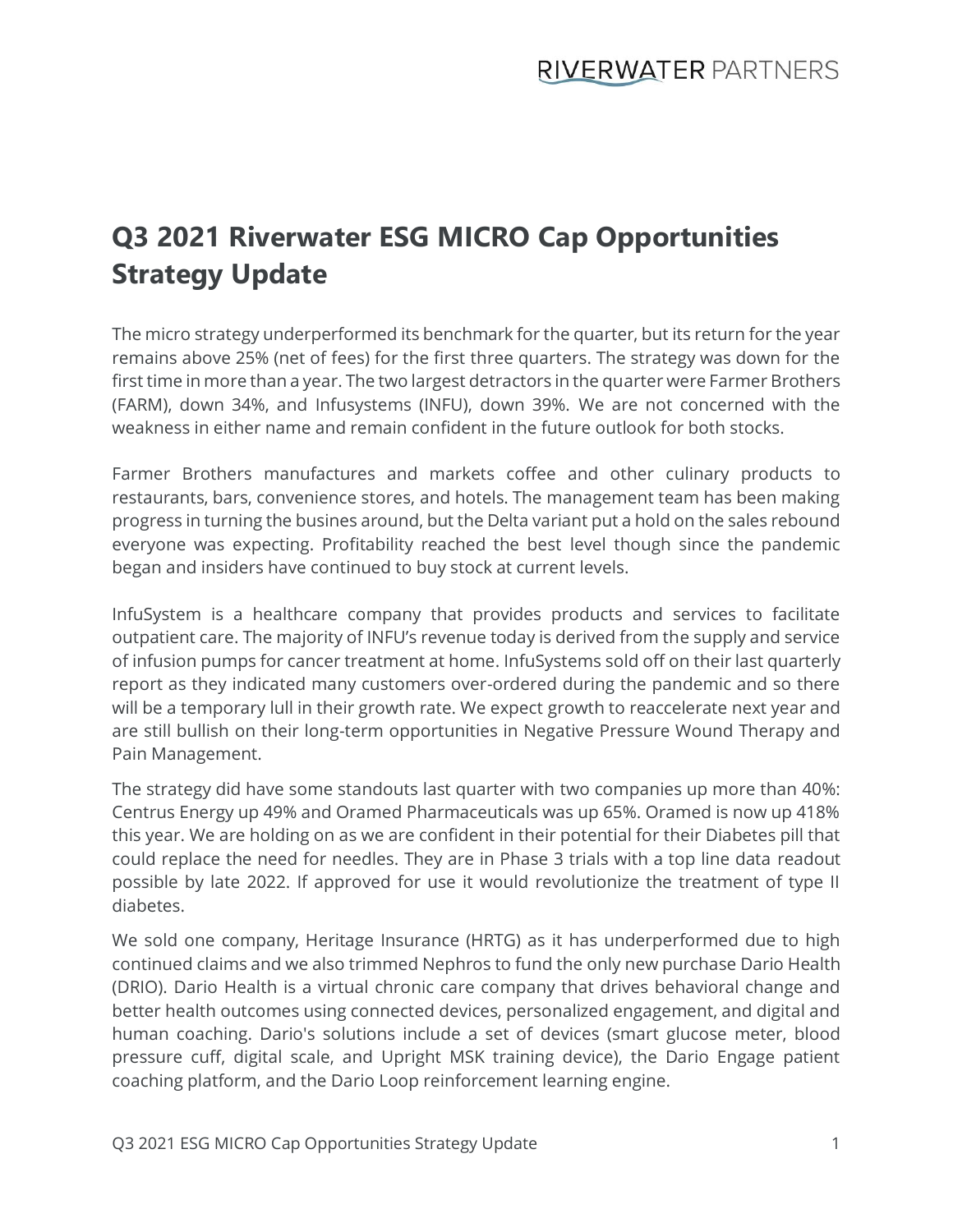## **Q3 2021 Riverwater ESG MICRO Cap Opportunities Strategy Update**

The micro strategy underperformed its benchmark for the quarter, but its return for the year remains above 25% (net of fees) for the first three quarters. The strategy was down for the first time in more than a year. The two largest detractors in the quarter were Farmer Brothers (FARM), down 34%, and Infusystems (INFU), down 39%. We are not concerned with the weakness in either name and remain confident in the future outlook for both stocks.

Farmer Brothers manufactures and markets coffee and other culinary products to restaurants, bars, convenience stores, and hotels. The management team has been making progress in turning the busines around, but the Delta variant put a hold on the sales rebound everyone was expecting. Profitability reached the best level though since the pandemic began and insiders have continued to buy stock at current levels.

InfuSystem is a healthcare company that provides products and services to facilitate outpatient care. The majority of INFU's revenue today is derived from the supply and service of infusion pumps for cancer treatment at home. InfuSystems sold off on their last quarterly report as they indicated many customers over-ordered during the pandemic and so there will be a temporary lull in their growth rate. We expect growth to reaccelerate next year and are still bullish on their long-term opportunities in Negative Pressure Wound Therapy and Pain Management.

The strategy did have some standouts last quarter with two companies up more than 40%: Centrus Energy up 49% and Oramed Pharmaceuticals was up 65%. Oramed is now up 418% this year. We are holding on as we are confident in their potential for their Diabetes pill that could replace the need for needles. They are in Phase 3 trials with a top line data readout possible by late 2022. If approved for use it would revolutionize the treatment of type II diabetes.

We sold one company, Heritage Insurance (HRTG) as it has underperformed due to high continued claims and we also trimmed Nephros to fund the only new purchase Dario Health (DRIO). Dario Health is a virtual chronic care company that drives behavioral change and better health outcomes using connected devices, personalized engagement, and digital and human coaching. Dario's solutions include a set of devices (smart glucose meter, blood pressure cuff, digital scale, and Upright MSK training device), the Dario Engage patient coaching platform, and the Dario Loop reinforcement learning engine.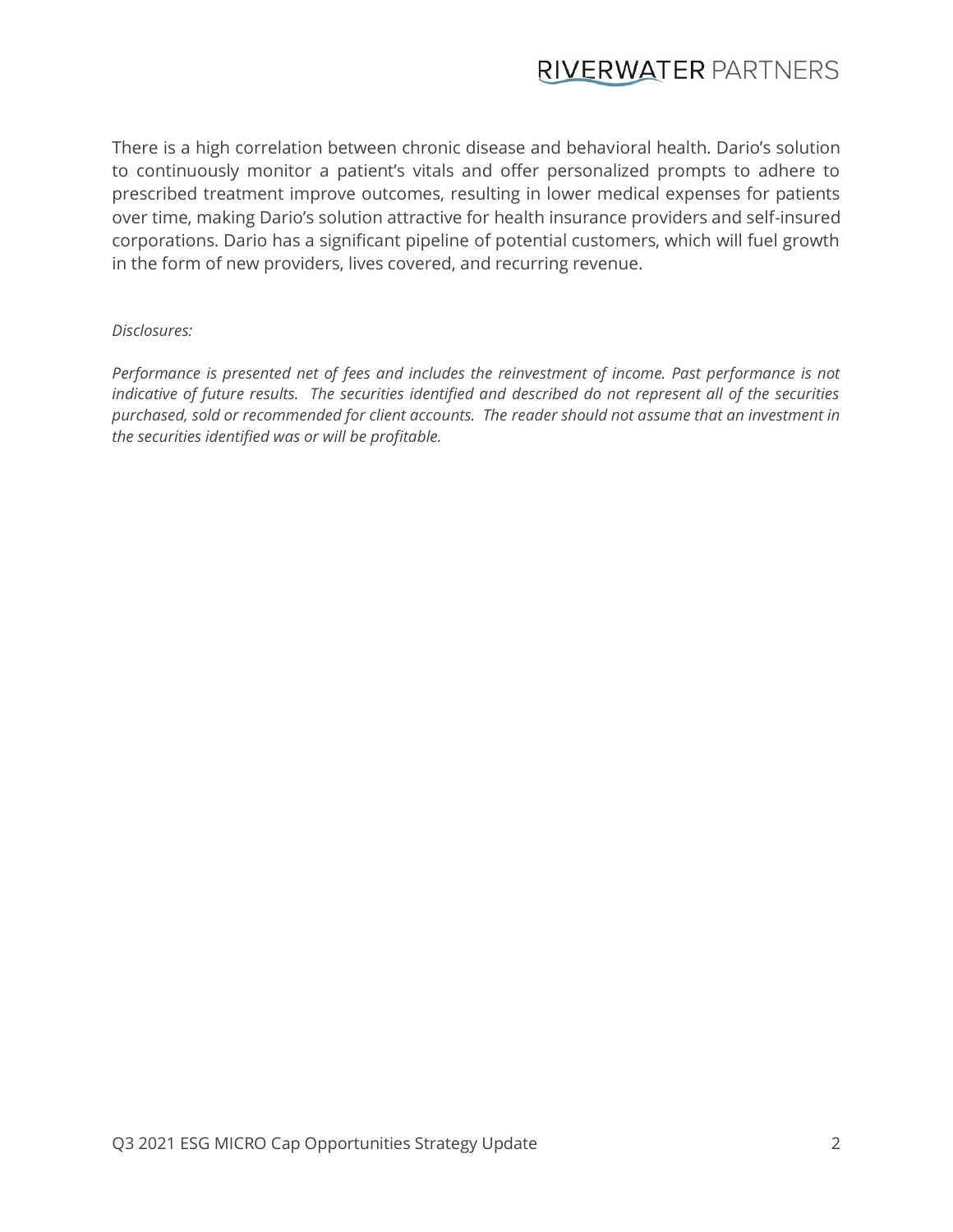## **RIVERWATER PARTNERS**

There is a high correlation between chronic disease and behavioral health. Dario's solution to continuously monitor a patient's vitals and offer personalized prompts to adhere to prescribed treatment improve outcomes, resulting in lower medical expenses for patients over time, making Dario's solution attractive for health insurance providers and self-insured corporations. Dario has a significant pipeline of potential customers, which will fuel growth in the form of new providers, lives covered, and recurring revenue.

## *Disclosures:*

*Performance is presented net of fees and includes the reinvestment of income. Past performance is not indicative of future results. The securities identified and described do not represent all of the securities purchased, sold or recommended for client accounts. The reader should not assume that an investment in the securities identified was or will be profitable.*